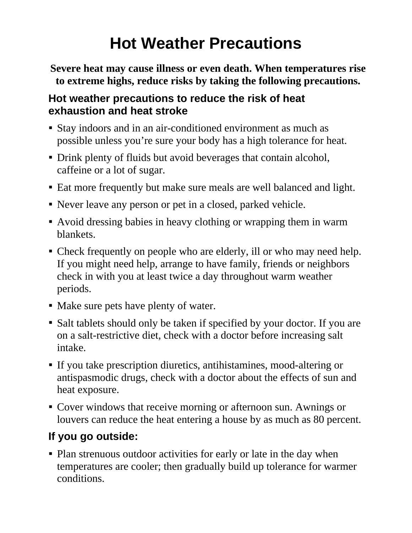## **Hot Weather Precautions**

**Severe heat may cause illness or even death. When temperatures rise to extreme highs, reduce risks by taking the following precautions.** 

## **Hot weather precautions to reduce the risk of heat exhaustion and heat stroke**

- Stay indoors and in an air-conditioned environment as much as possible unless you're sure your body has a high tolerance for heat.
- Drink plenty of fluids but avoid beverages that contain alcohol, caffeine or a lot of sugar.
- Eat more frequently but make sure meals are well balanced and light.
- Never leave any person or pet in a closed, parked vehicle.
- Avoid dressing babies in heavy clothing or wrapping them in warm blankets.
- Check frequently on people who are elderly, ill or who may need help. If you might need help, arrange to have family, friends or neighbors check in with you at least twice a day throughout warm weather periods.
- Make sure pets have plenty of water.
- Salt tablets should only be taken if specified by your doctor. If you are on a salt-restrictive diet, check with a doctor before increasing salt intake.
- If you take prescription diuretics, antihistamines, mood-altering or antispasmodic drugs, check with a doctor about the effects of sun and heat exposure.
- Cover windows that receive morning or afternoon sun. Awnings or louvers can reduce the heat entering a house by as much as 80 percent.

## **If you go outside:**

• Plan strenuous outdoor activities for early or late in the day when temperatures are cooler; then gradually build up tolerance for warmer conditions.